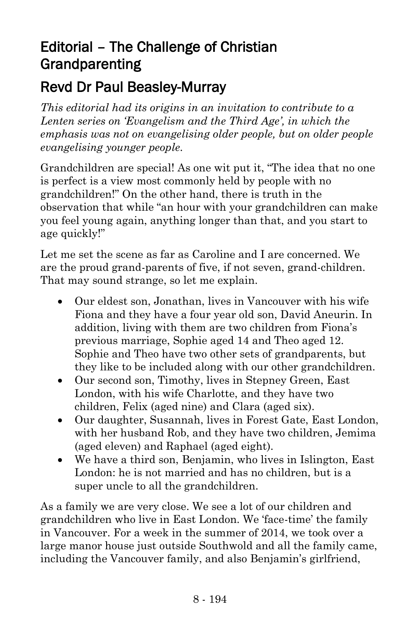## Editorial – The Challenge of Christian Grandparenting

## Revd Dr Paul Beasley-Murray

*This editorial had its origins in an invitation to contribute to a Lenten series on 'Evangelism and the Third Age', in which the emphasis was not on evangelising older people, but on older people evangelising younger people.*

Grandchildren are special! As one wit put it, "The idea that no one is perfect is a view most commonly held by people with no grandchildren!" On the other hand, there is truth in the observation that while "an hour with your grandchildren can make you feel young again, anything longer than that, and you start to age quickly!"

Let me set the scene as far as Caroline and I are concerned. We are the proud grand-parents of five, if not seven, grand-children. That may sound strange, so let me explain.

- Our eldest son, Jonathan, lives in Vancouver with his wife Fiona and they have a four year old son, David Aneurin. In addition, living with them are two children from Fiona's previous marriage, Sophie aged 14 and Theo aged 12. Sophie and Theo have two other sets of grandparents, but they like to be included along with our other grandchildren.
- Our second son, Timothy, lives in Stepney Green, East London, with his wife Charlotte, and they have two children, Felix (aged nine) and Clara (aged six).
- Our daughter, Susannah, lives in Forest Gate, East London, with her husband Rob, and they have two children, Jemima (aged eleven) and Raphael (aged eight).
- We have a third son, Benjamin, who lives in Islington, East London: he is not married and has no children, but is a super uncle to all the grandchildren.

As a family we are very close. We see a lot of our children and grandchildren who live in East London. We 'face-time' the family in Vancouver. For a week in the summer of 2014, we took over a large manor house just outside Southwold and all the family came, including the Vancouver family, and also Benjamin's girlfriend,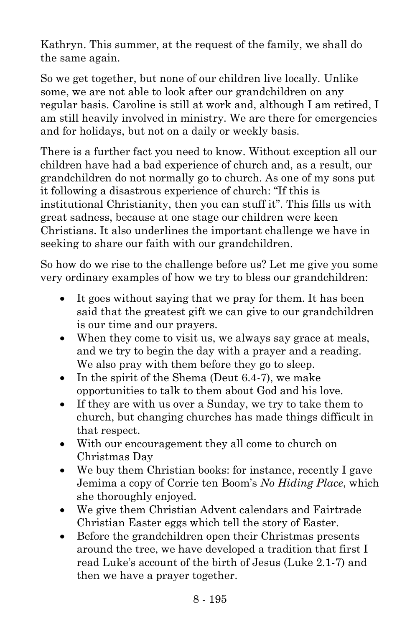Kathryn. This summer, at the request of the family, we shall do the same again.

So we get together, but none of our children live locally. Unlike some, we are not able to look after our grandchildren on any regular basis. Caroline is still at work and, although I am retired, I am still heavily involved in ministry. We are there for emergencies and for holidays, but not on a daily or weekly basis.

There is a further fact you need to know. Without exception all our children have had a bad experience of church and, as a result, our grandchildren do not normally go to church. As one of my sons put it following a disastrous experience of church: "If this is institutional Christianity, then you can stuff it". This fills us with great sadness, because at one stage our children were keen Christians. It also underlines the important challenge we have in seeking to share our faith with our grandchildren.

So how do we rise to the challenge before us? Let me give you some very ordinary examples of how we try to bless our grandchildren:

- It goes without saying that we pray for them. It has been said that the greatest gift we can give to our grandchildren is our time and our prayers.
- When they come to visit us, we always say grace at meals, and we try to begin the day with a prayer and a reading. We also pray with them before they go to sleep.
- In the spirit of the Shema (Deut 6.4-7), we make opportunities to talk to them about God and his love.
- If they are with us over a Sunday, we try to take them to church, but changing churches has made things difficult in that respect.
- With our encouragement they all come to church on Christmas Day
- We buy them Christian books: for instance, recently I gave Jemima a copy of Corrie ten Boom's *No Hiding Place*, which she thoroughly enjoyed.
- We give them Christian Advent calendars and Fairtrade Christian Easter eggs which tell the story of Easter.
- Before the grandchildren open their Christmas presents around the tree, we have developed a tradition that first I read Luke's account of the birth of Jesus (Luke 2.1-7) and then we have a prayer together.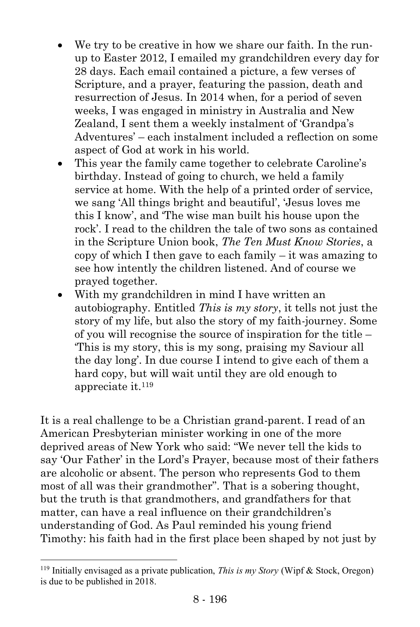- We try to be creative in how we share our faith. In the runup to Easter 2012, I emailed my grandchildren every day for 28 days. Each email contained a picture, a few verses of Scripture, and a prayer, featuring the passion, death and resurrection of Jesus. In 2014 when, for a period of seven weeks, I was engaged in ministry in Australia and New Zealand, I sent them a weekly instalment of 'Grandpa's Adventures' – each instalment included a reflection on some aspect of God at work in his world.
- This year the family came together to celebrate Caroline's birthday. Instead of going to church, we held a family service at home. With the help of a printed order of service, we sang 'All things bright and beautiful', 'Jesus loves me this I know', and 'The wise man built his house upon the rock'. I read to the children the tale of two sons as contained in the Scripture Union book, *The Ten Must Know Stories*, a copy of which I then gave to each family – it was amazing to see how intently the children listened. And of course we prayed together.
- With my grandchildren in mind I have written an autobiography. Entitled *This is my story*, it tells not just the story of my life, but also the story of my faith-journey. Some of you will recognise the source of inspiration for the title – 'This is my story, this is my song, praising my Saviour all the day long'. In due course I intend to give each of them a hard copy, but will wait until they are old enough to appreciate it.<sup>119</sup>

It is a real challenge to be a Christian grand-parent. I read of an American Presbyterian minister working in one of the more deprived areas of New York who said: "We never tell the kids to say 'Our Father' in the Lord's Prayer, because most of their fathers are alcoholic or absent. The person who represents God to them most of all was their grandmother". That is a sobering thought, but the truth is that grandmothers, and grandfathers for that matter, can have a real influence on their grandchildren's understanding of God. As Paul reminded his young friend Timothy: his faith had in the first place been shaped by not just by

l

<sup>119</sup> Initially envisaged as a private publication, *This is my Story* (Wipf & Stock, Oregon) is due to be published in 2018.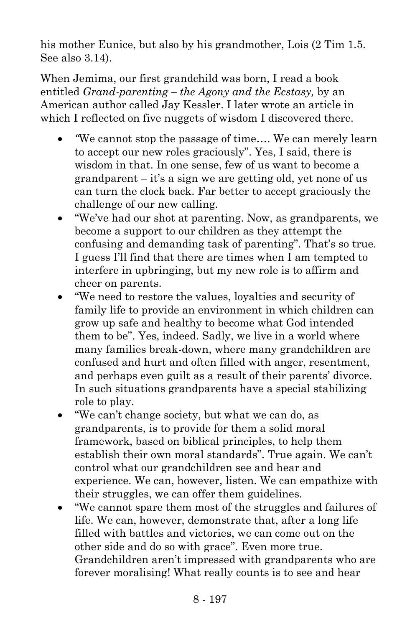his mother Eunice, but also by his grandmother, Lois  $(2 \text{ Tim } 1.5.$ See also 3.14).

When Jemima, our first grandchild was born, I read a book entitled *Grand-parenting – the Agony and the Ecstasy,* by an American author called Jay Kessler. I later wrote an article in which I reflected on five nuggets of wisdom I discovered there.

- *"*We cannot stop the passage of time…. We can merely learn to accept our new roles graciously". Yes, I said, there is wisdom in that. In one sense, few of us want to become a grandparent – it's a sign we are getting old, yet none of us can turn the clock back. Far better to accept graciously the challenge of our new calling.
- "We've had our shot at parenting. Now, as grandparents, we become a support to our children as they attempt the confusing and demanding task of parenting". That's so true. I guess I'll find that there are times when I am tempted to interfere in upbringing, but my new role is to affirm and cheer on parents.
- "We need to restore the values, loyalties and security of family life to provide an environment in which children can grow up safe and healthy to become what God intended them to be". Yes, indeed. Sadly, we live in a world where many families break-down, where many grandchildren are confused and hurt and often filled with anger, resentment, and perhaps even guilt as a result of their parents' divorce. In such situations grandparents have a special stabilizing role to play.
- "We can't change society, but what we can do, as grandparents, is to provide for them a solid moral framework, based on biblical principles, to help them establish their own moral standards". True again. We can't control what our grandchildren see and hear and experience. We can, however, listen. We can empathize with their struggles, we can offer them guidelines.
- "We cannot spare them most of the struggles and failures of life. We can, however, demonstrate that, after a long life filled with battles and victories, we can come out on the other side and do so with grace". Even more true. Grandchildren aren't impressed with grandparents who are forever moralising! What really counts is to see and hear